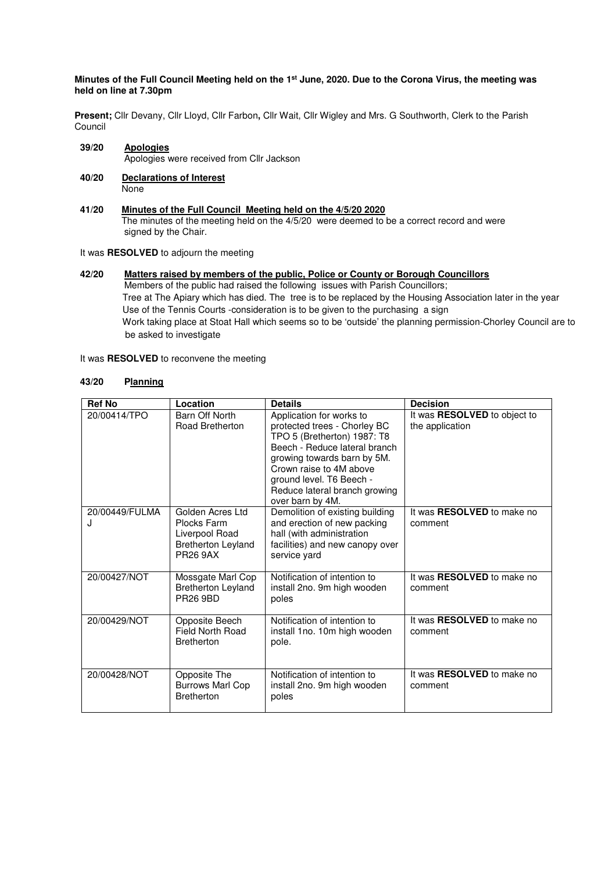### **Minutes of the Full Council Meeting held on the 1st June, 2020. Due to the Corona Virus, the meeting was held on line at 7.30pm**

**Present;** Cllr Devany, Cllr Lloyd, Cllr Farbon**,** Cllr Wait, Cllr Wigley and Mrs. G Southworth, Clerk to the Parish Council

- **39/20 Apologies** Apologies were received from Cllr Jackson
- **40/20 Declarations of Interest None**
- $41/20$ **41/20 Minutes of the Full Council Meeting held on the 4/5/20 2020** The minutes of the meeting held on the 4/5/20 were deemed to be a correct record and were signed by the Chair.
- It was **RESOLVED** to adjourn the meeting
- **42/20 Matters raised by members of the public, Police or County or Borough Councillors**  Members of the public had raised the following issues with Parish Councillors; Tree at The Apiary which has died. The tree is to be replaced by the Housing Association later in the year Use of the Tennis Courts -consideration is to be given to the purchasing a sign Work taking place at Stoat Hall which seems so to be 'outside' the planning permission-Chorley Council are to be asked to investigate
- It was **RESOLVED** to reconvene the meeting

# **43/20 Planning**

| <b>Ref No</b>       | Location                                                                                          | <b>Details</b>                                                                                                                                                                                                                                                      | <b>Decision</b>                                        |
|---------------------|---------------------------------------------------------------------------------------------------|---------------------------------------------------------------------------------------------------------------------------------------------------------------------------------------------------------------------------------------------------------------------|--------------------------------------------------------|
| 20/00414/TPO        | Barn Off North<br>Road Bretherton                                                                 | Application for works to<br>protected trees - Chorley BC<br>TPO 5 (Bretherton) 1987: T8<br>Beech - Reduce lateral branch<br>growing towards barn by 5M.<br>Crown raise to 4M above<br>ground level. T6 Beech -<br>Reduce lateral branch growing<br>over barn by 4M. | It was <b>RESOLVED</b> to object to<br>the application |
| 20/00449/FULMA<br>J | Golden Acres Ltd<br>Plocks Farm<br>Liverpool Road<br><b>Bretherton Leyland</b><br><b>PR26 9AX</b> | Demolition of existing building<br>and erection of new packing<br>hall (with administration<br>facilities) and new canopy over<br>service yard                                                                                                                      | It was <b>RESOLVED</b> to make no<br>comment           |
| 20/00427/NOT        | Mossgate Marl Cop<br><b>Bretherton Leyland</b><br><b>PR26 9BD</b>                                 | Notification of intention to<br>install 2no. 9m high wooden<br>poles                                                                                                                                                                                                | It was <b>RESOLVED</b> to make no<br>comment           |
| 20/00429/NOT        | Opposite Beech<br><b>Field North Road</b><br><b>Bretherton</b>                                    | Notification of intention to<br>install 1no. 10m high wooden<br>pole.                                                                                                                                                                                               | It was RESOLVED to make no<br>comment                  |
| 20/00428/NOT        | Opposite The<br><b>Burrows Marl Cop</b><br><b>Bretherton</b>                                      | Notification of intention to<br>install 2no. 9m high wooden<br>poles                                                                                                                                                                                                | It was <b>RESOLVED</b> to make no<br>comment           |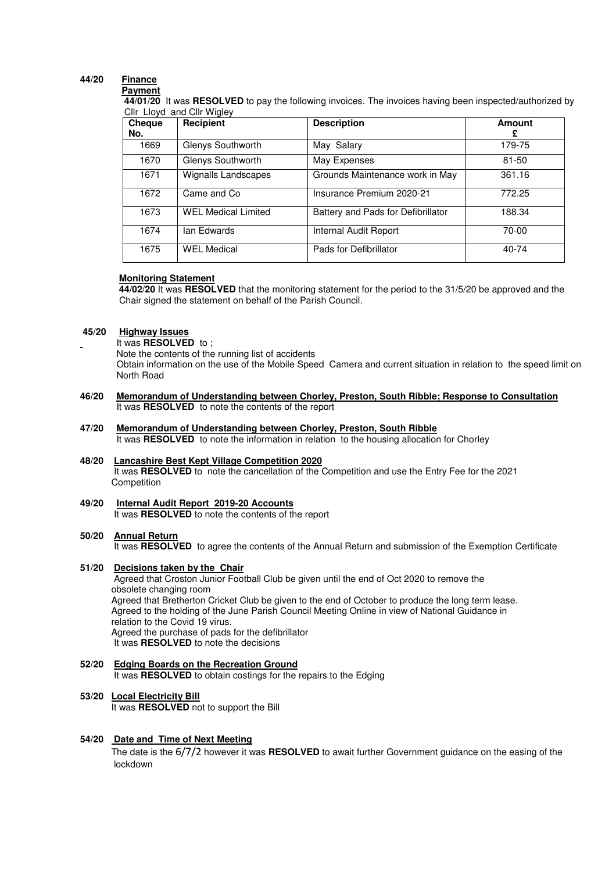#### **44/20 Finance Payment**

## **44/01/20** It was **RESOLVED** to pay the following invoices. The invoices having been inspected/authorized by Cllr Lloyd and Cllr Wigley

| Cheque | Recipient                  | <b>Description</b>                 | Amount |
|--------|----------------------------|------------------------------------|--------|
| No.    |                            |                                    |        |
| 1669   | Glenys Southworth          | May Salary                         | 179-75 |
| 1670   | Glenys Southworth          | May Expenses                       | 81-50  |
| 1671   | <b>Wignalls Landscapes</b> | Grounds Maintenance work in May    | 361.16 |
| 1672   | Came and Co                | Insurance Premium 2020-21          | 772.25 |
| 1673   | <b>WEL Medical Limited</b> | Battery and Pads for Defibrillator | 188.34 |
| 1674   | lan Edwards                | Internal Audit Report              | 70-00  |
| 1675   | <b>WEL Medical</b>         | Pads for Defibrillator             | 40-74  |

### **Monitoring Statement**

 **44/02/20** It was **RESOLVED** that the monitoring statement for the period to the 31/5/20 be approved and the Chair signed the statement on behalf of the Parish Council.

## **45/20 Highway Issues**

#### It was **RESOLVED** to ;

Note the contents of the running list of accidents

 Obtain information on the use of the Mobile Speed Camera and current situation in relation to the speed limit on North Road

- **46/20 Memorandum of Understanding between Chorley, Preston, South Ribble; Response to Consultation** It was **RESOLVED** to note the contents of the report
- **47/20 Memorandum of Understanding between Chorley, Preston, South Ribble**  It was **RESOLVED** to note the information in relation to the housing allocation for Chorley
- **48/20 Lancashire Best Kept Village Competition 2020** It was **RESOLVED** to note the cancellation of the Competition and use the Entry Fee for the 2021 Competition
- **49/20 Internal Audit Report 2019-20 Accounts**  It was **RESOLVED** to note the contents of the report

## **50/20 Annual Return**

It was **RESOLVED** to agree the contents of the Annual Return and submission of the Exemption Certificate

### **51/20 Decisions taken by the Chair**

Agreed that Croston Junior Football Club be given until the end of Oct 2020 to remove the obsolete changing room Agreed that Bretherton Cricket Club be given to the end of October to produce the long term lease. Agreed to the holding of the June Parish Council Meeting Online in view of National Guidance in relation to the Covid 19 virus. Agreed the purchase of pads for the defibrillator It was **RESOLVED** to note the decisions

**52/20 Edging Boards on the Recreation Ground**  It was **RESOLVED** to obtain costings for the repairs to the Edging

# **53/20 Local Electricity Bill**

It was **RESOLVED** not to support the Bill

## **54/20 Date and Time of Next Meeting**

The date is the 6/7/2 however it was **RESOLVED** to await further Government guidance on the easing of the lockdown